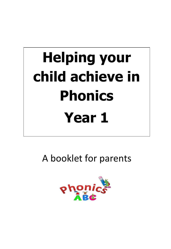# **Helping your child achieve in Phonics Year 1**

A booklet for parents

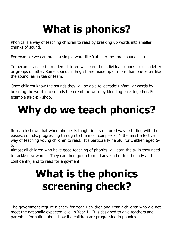## **What is phonics?**

Phonics is a way of teaching children to read by breaking up words into smaller chunks of sound.

For example we can break a simple word like 'cat' into the three sounds c-a-t.

To become successful readers children will learn the individual sounds for each letter or groups of letter. Some sounds in English are made up of more than one letter like the sound 'ea' in tea or team.

Once children know the sounds they will be able to 'decode' unfamiliar words by breaking the word into sounds then read the word by blending back together. For example sh-o-p - shop.

### **Why do we teach phonics?**

Research shows that when phonics is taught in a structured way - starting with the easiest sounds, progressing through to the most complex - it's the most effective way of teaching young children to read. It's particularly helpful for children aged 5- 6.

Almost all children who have good teaching of phonics will learn the skills they need to tackle new words. They can then go on to read any kind of text fluently and confidently, and to read for enjoyment.

### **What is the phonics screening check?**

The government require a check for Year 1 children and Year 2 children who did not meet the nationally expected level in Year 1. It is designed to give teachers and parents information about how the children are progressing in phonics.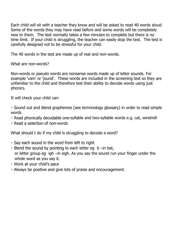Each child will sit with a teacher they know and will be asked to read 40 words aloud. Some of the words they may have read before and some words will be completely new to them. The test normally takes a few minutes to complete but there is no time limit. If your child is struggling, the teacher can easily stop the test. The test is carefully designed not to be stressful for your child.

The 40 words in the test are made up of real and non-words.

What are non-words?

Non-words or pseudo words are nonsense words made up of letter sounds. For example 'vam' or 'jound'. These words are included in the screening test so they are unfamiliar to the child and therefore test their ability to decode words using just phonics.

It will check your child can:

• Sound out and blend graphemes (see terminology glossary) in order to read simple words

- Read phonically decodable one-syllable and two-syllable words e.g. cat, windmill
- Read a selection of non-words

What should I do if my child is struggling to decode a word?

- . Say each sound in the word from left to right
- $\cdot$  Blend the sound by pointing to each letter eg b –in bat, or letter group eg igh –in sigh. As you say the sound run your finger under the whole word as you say it.
- · Work at your child's pace
- . Always be positive and give lots of praise and encouragement.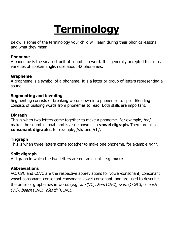### **Terminology**

Below is some of the terminology your child will learn during their phonics lessons and what they mean.

#### **Phoneme**

A phoneme is the smallest unit of sound in a word. It is generally accepted that most varieties of spoken English use about 42 phonemes.

#### **Grapheme**

A grapheme is a symbol of a phoneme. It is a letter or group of letters representing a sound.

#### **Segmenting and blending**

Segmenting consists of breaking words down into phonemes to spell. Blending consists of building words from phonemes to read. Both skills are important.

#### **Digraph**

This is when two letters come together to make a phoneme. For example, /oa/ makes the sound in 'boat' and is also known as a **vowel digraph.** There are also **consonant digraphs**, for example, /sh/ and /ch/.

#### **Trigraph**

This is when three letters come together to make one phoneme, for example /igh/.

#### **Split digraph**

A digraph in which the two letters are not adjacent –e.g. m**a**k**e** 

#### **Abbreviations**

VC, CVC and CCVC are the respective abbreviations for vowel-consonant, consonant vowel-consonant, consonant-consonant-vowel-consonant, and are used to describe the order of graphemes in words (e.g. am (VC), Sam (CVC), slam (CCVC), or each (VC), beach (CVC), bleach (CCVC).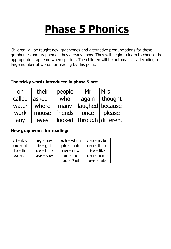### **Phase 5 Phonics**

Children will be taught new graphemes and alternative pronunciations for these graphemes and graphemes they already know. They will begin to learn to choose the appropriate grapheme when spelling. The children will be automatically decoding a large number of words for reading by this point.

### oh | their  $people$  Mr  $Mrs$ called asked  $\vert$  who  $\vert$  again thought water | where  $\vert$  many  $\vert$  laughed because work | mouse | friends | once | please any  $\vert$  eyes  $\vert$  looked  $\vert$  through  $\vert$  different

#### **The tricky words introduced in phase 5 are:**

#### **New graphemes for reading:**

| $ai$ - day      | $oy - boy$  | $wh$ - when      | $a-e$ - make      |
|-----------------|-------------|------------------|-------------------|
| <b>ou</b> -out  | $ir - girl$ | $ph - photo$     | $e$ - $e$ - these |
| <b>ie</b> - tie | $ue$ - blue | $ew - new$       | <b>i-e -</b> like |
| ea -eat         | $aw - saw$  | $oe$ - toe       | $o-e$ - home      |
|                 |             | <b>au - Paul</b> | $u-e$ - rule      |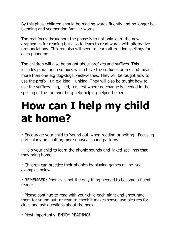By this phase children should be reading words fluently and no longer be blending and segmenting familiar words.

The real focus throughout the phase is to not only learn the new graphemes for reading but also to learn to read words with alternative pronunciations. Children also will need to learn alternative spellings for each phoneme.

The children will also be taught about prefixes and suffixes. This includes plural noun suffixes which have the suffix  $-s$  or  $-es$  and means more than one e.g dog-dogs, wish-wishes. They will be taught how to use the prefix –un e.g kind – unkind. They will also be taught how to use the suffixes –ing, --ed, -er, -est where no change is needed in the spelling of the root word e.g help-helping-helped-helper.

### **How can I help my child at home?**

. Encourage your child to 'sound out' when reading or writing. Focusing particularly on spotting more unusual sound patterns

• Help your child to learn the phonic sounds and linked spellings that they bring home

• Children can practice their phonics by playing games online–see examples below.

• REMEMBER: Phonics is not the only thing needed to become a fluent reader

• Please continue to read with your child each night and encourage them to: sound out, re-read to check it makes sense, use pictures for clues and ask questions about the book.

· Most importantly, ENJOY READING!